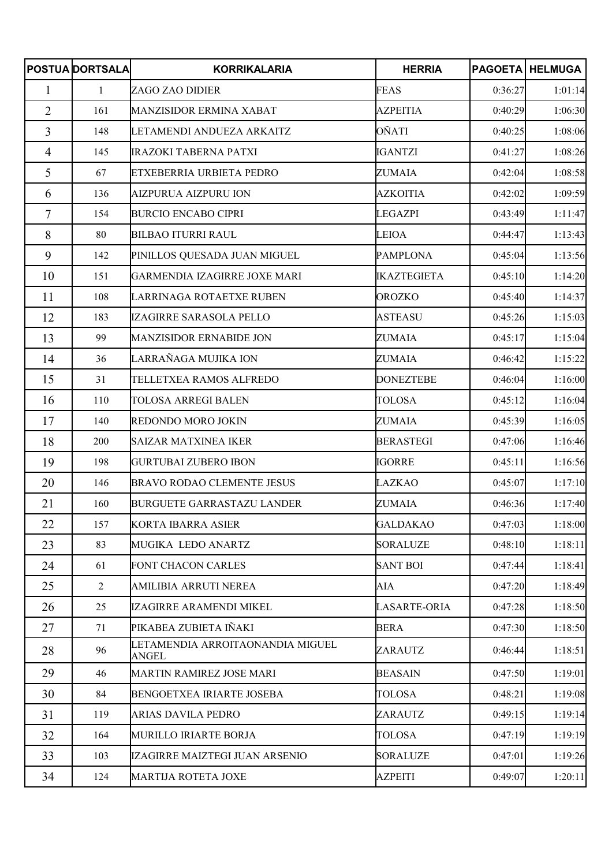|                | <b>POSTUA DORTSALA</b> | <b>KORRIKALARIA</b>                              | <b>HERRIA</b>      |         | <b>PAGOETA HELMUGA</b> |
|----------------|------------------------|--------------------------------------------------|--------------------|---------|------------------------|
| 1              | 1                      | ZAGO ZAO DIDIER                                  | <b>FEAS</b>        | 0:36:27 | 1:01:14                |
| $\overline{2}$ | 161                    | MANZISIDOR ERMINA XABAT                          | <b>AZPEITIA</b>    | 0:40:29 | 1:06:30                |
| 3              | 148                    | LETAMENDI ANDUEZA ARKAITZ                        | OÑATI              | 0:40:25 | 1:08:06                |
| $\overline{4}$ | 145                    | <b>IRAZOKI TABERNA PATXI</b>                     | <b>IGANTZI</b>     | 0:41:27 | 1:08:26                |
| 5              | 67                     | ETXEBERRIA URBIETA PEDRO                         | <b>ZUMAIA</b>      | 0:42:04 | 1:08:58                |
| 6              | 136                    | <b>AIZPURUA AIZPURU ION</b>                      | <b>AZKOITIA</b>    | 0:42:02 | 1:09:59                |
| $\overline{7}$ | 154                    | <b>BURCIO ENCABO CIPRI</b>                       | <b>LEGAZPI</b>     | 0:43:49 | 1:11:47                |
| 8              | 80                     | <b>BILBAO ITURRI RAUL</b>                        | <b>LEIOA</b>       | 0:44:47 | 1:13:43                |
| 9              | 142                    | PINILLOS QUESADA JUAN MIGUEL                     | <b>PAMPLONA</b>    | 0:45:04 | 1:13:56                |
| 10             | 151                    | GARMENDIA IZAGIRRE JOXE MARI                     | <b>IKAZTEGIETA</b> | 0:45:10 | 1:14:20                |
| 11             | 108                    | LARRINAGA ROTAETXE RUBEN                         | <b>OROZKO</b>      | 0:45:40 | 1:14:37                |
| 12             | 183                    | IZAGIRRE SARASOLA PELLO                          | <b>ASTEASU</b>     | 0:45:26 | 1:15:03                |
| 13             | 99                     | MANZISIDOR ERNABIDE JON                          | <b>ZUMAIA</b>      | 0:45:17 | 1:15:04                |
| 14             | 36                     | LARRAÑAGA MUJIKA ION                             | <b>ZUMAIA</b>      | 0:46:42 | 1:15:22                |
| 15             | 31                     | TELLETXEA RAMOS ALFREDO                          | <b>DONEZTEBE</b>   | 0:46:04 | 1:16:00                |
| 16             | 110                    | <b>TOLOSA ARREGI BALEN</b>                       | <b>TOLOSA</b>      | 0:45:12 | 1:16:04                |
| 17             | 140                    | <b>REDONDO MORO JOKIN</b>                        | ZUMAIA             | 0:45:39 | 1:16:05                |
| 18             | 200                    | <b>SAIZAR MATXINEA IKER</b>                      | <b>BERASTEGI</b>   | 0:47:06 | 1:16:46                |
| 19             | 198                    | <b>GURTUBAI ZUBERO IBON</b>                      | <b>IGORRE</b>      | 0:45:11 | 1:16:56                |
| 20             | 146                    | <b>BRAVO RODAO CLEMENTE JESUS</b>                | <b>LAZKAO</b>      | 0:45:07 | 1:17:10                |
| 21             | 160                    | <b>BURGUETE GARRASTAZU LANDER</b>                | <b>ZUMAIA</b>      | 0:46:36 | 1:17:40                |
| 22             | 157                    | <b>KORTA IBARRA ASIER</b>                        | <b>GALDAKAO</b>    | 0:47:03 | 1:18:00                |
| 23             | 83                     | MUGIKA LEDO ANARTZ                               | <b>SORALUZE</b>    | 0:48:10 | 1:18:11                |
| 24             | 61                     | FONT CHACON CARLES                               | <b>SANT BOI</b>    | 0:47:44 | 1:18:41                |
| 25             | $\overline{2}$         | AMILIBIA ARRUTI NEREA                            | AIA                | 0:47:20 | 1:18:49                |
| 26             | 25                     | IZAGIRRE ARAMENDI MIKEL                          | LASARTE-ORIA       | 0:47:28 | 1:18:50                |
| 27             | 71                     | PIKABEA ZUBIETA IÑAKI                            | <b>BERA</b>        | 0:47:30 | 1:18:50                |
| 28             | 96                     | LETAMENDIA ARROITAONANDIA MIGUEL<br><b>ANGEL</b> | ZARAUTZ            | 0:46:44 | 1:18:51                |
| 29             | 46                     | MARTIN RAMIREZ JOSE MARI                         | <b>BEASAIN</b>     | 0:47:50 | 1:19:01                |
| 30             | 84                     | <b>BENGOETXEA IRIARTE JOSEBA</b>                 | <b>TOLOSA</b>      | 0:48:21 | 1:19:08                |
| 31             | 119                    | <b>ARIAS DAVILA PEDRO</b>                        | ZARAUTZ            | 0:49:15 | 1:19:14                |
| 32             | 164                    | MURILLO IRIARTE BORJA                            | <b>TOLOSA</b>      | 0:47:19 | 1:19:19                |
| 33             | 103                    | IZAGIRRE MAIZTEGI JUAN ARSENIO                   | SORALUZE           | 0:47:01 | 1:19:26                |
| 34             | 124                    | <b>MARTIJA ROTETA JOXE</b>                       | <b>AZPEITI</b>     | 0:49:07 | 1:20:11                |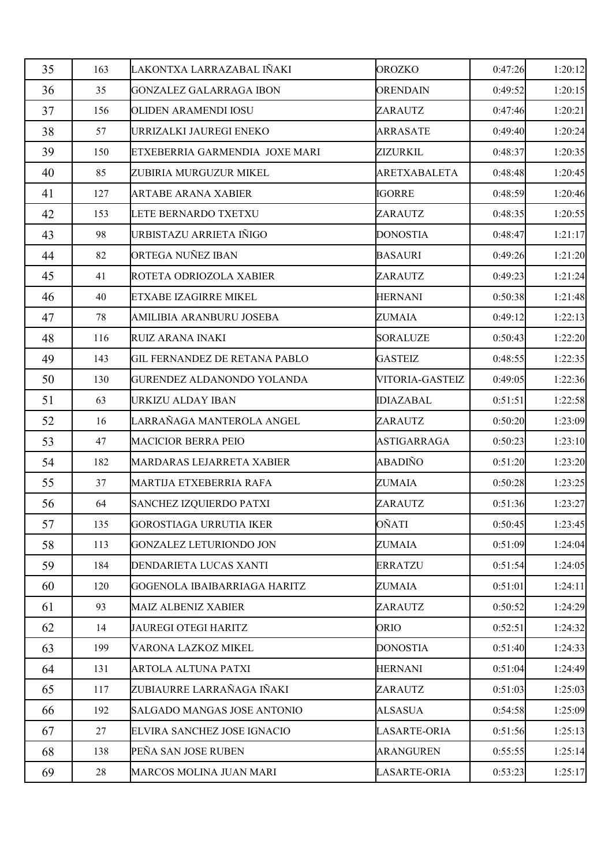| 35 | 163 | LAKONTXA LARRAZABAL IÑAKI            | OROZKO              | 0:47:26 | 1:20:12 |
|----|-----|--------------------------------------|---------------------|---------|---------|
| 36 | 35  | GONZALEZ GALARRAGA IBON              | <b>ORENDAIN</b>     | 0:49:52 | 1:20:15 |
| 37 | 156 | OLIDEN ARAMENDI IOSU                 | ZARAUTZ             | 0:47:46 | 1:20:21 |
| 38 | 57  | URRIZALKI JAUREGI ENEKO              | <b>ARRASATE</b>     | 0:49:40 | 1:20:24 |
| 39 | 150 | ETXEBERRIA GARMENDIA JOXE MARI       | ZIZURKIL            | 0:48:37 | 1:20:35 |
| 40 | 85  | ZUBIRIA MURGUZUR MIKEL               | ARETXABALETA        | 0:48:48 | 1:20:45 |
| 41 | 127 | <b>ARTABE ARANA XABIER</b>           | <b>IGORRE</b>       | 0:48:59 | 1:20:46 |
| 42 | 153 | LETE BERNARDO TXETXU                 | ZARAUTZ             | 0:48:35 | 1:20:55 |
| 43 | 98  | URBISTAZU ARRIETA IÑIGO              | <b>DONOSTIA</b>     | 0:48:47 | 1:21:17 |
| 44 | 82  | <b>ORTEGA NUÑEZ IBAN</b>             | <b>BASAURI</b>      | 0:49:26 | 1:21:20 |
| 45 | 41  | ROTETA ODRIOZOLA XABIER              | ZARAUTZ             | 0:49:23 | 1:21:24 |
| 46 | 40  | ETXABE IZAGIRRE MIKEL                | <b>HERNANI</b>      | 0:50:38 | 1:21:48 |
| 47 | 78  | AMILIBIA ARANBURU JOSEBA             | <b>ZUMAIA</b>       | 0:49:12 | 1:22:13 |
| 48 | 116 | RUIZ ARANA INAKI                     | <b>SORALUZE</b>     | 0:50:43 | 1:22:20 |
| 49 | 143 | <b>GIL FERNANDEZ DE RETANA PABLO</b> | <b>GASTEIZ</b>      | 0:48:55 | 1:22:35 |
| 50 | 130 | GURENDEZ ALDANONDO YOLANDA           | VITORIA-GASTEIZ     | 0:49:05 | 1:22:36 |
| 51 | 63  | URKIZU ALDAY IBAN                    | <b>IDIAZABAL</b>    | 0:51:51 | 1:22:58 |
| 52 | 16  | LARRAÑAGA MANTEROLA ANGEL            | ZARAUTZ             | 0:50:20 | 1:23:09 |
| 53 | 47  | <b>MACICIOR BERRA PEIO</b>           | <b>ASTIGARRAGA</b>  | 0:50:23 | 1:23:10 |
| 54 | 182 | MARDARAS LEJARRETA XABIER            | <b>ABADIÑO</b>      | 0:51:20 | 1:23:20 |
| 55 | 37  | MARTIJA ETXEBERRIA RAFA              | <b>ZUMAIA</b>       | 0:50:28 | 1:23:25 |
| 56 | 64  | <b>SANCHEZ IZQUIERDO PATXI</b>       | ZARAUTZ             | 0:51:36 | 1:23:27 |
| 57 | 135 | <b>GOROSTIAGA URRUTIA IKER</b>       | OÑATI               | 0:50:45 | 1:23:45 |
| 58 | 113 | GONZALEZ LETURIONDO JON              | <b>ZUMAIA</b>       | 0:51:09 | 1:24:04 |
| 59 | 184 | DENDARIETA LUCAS XANTI               | <b>ERRATZU</b>      | 0:51:54 | 1:24:05 |
| 60 | 120 | GOGENOLA IBAIBARRIAGA HARITZ         | <b>ZUMAIA</b>       | 0:51:01 | 1:24:11 |
| 61 | 93  | <b>MAIZ ALBENIZ XABIER</b>           | ZARAUTZ             | 0:50:52 | 1:24:29 |
| 62 | 14  | <b>JAUREGI OTEGI HARITZ</b>          | <b>ORIO</b>         | 0:52:51 | 1:24:32 |
| 63 | 199 | VARONA LAZKOZ MIKEL                  | <b>DONOSTIA</b>     | 0:51:40 | 1:24:33 |
| 64 | 131 | <b>ARTOLA ALTUNA PATXI</b>           | <b>HERNANI</b>      | 0:51:04 | 1:24:49 |
| 65 | 117 | ZUBIAURRE LARRAÑAGA IÑAKI            | ZARAUTZ             | 0:51:03 | 1:25:03 |
| 66 | 192 | SALGADO MANGAS JOSE ANTONIO          | <b>ALSASUA</b>      | 0:54:58 | 1:25:09 |
| 67 | 27  | ELVIRA SANCHEZ JOSE IGNACIO          | <b>LASARTE-ORIA</b> | 0:51:56 | 1:25:13 |
| 68 | 138 | PEÑA SAN JOSE RUBEN                  | <b>ARANGUREN</b>    | 0:55:55 | 1:25:14 |
| 69 | 28  | MARCOS MOLINA JUAN MARI              | LASARTE-ORIA        | 0:53:23 | 1:25:17 |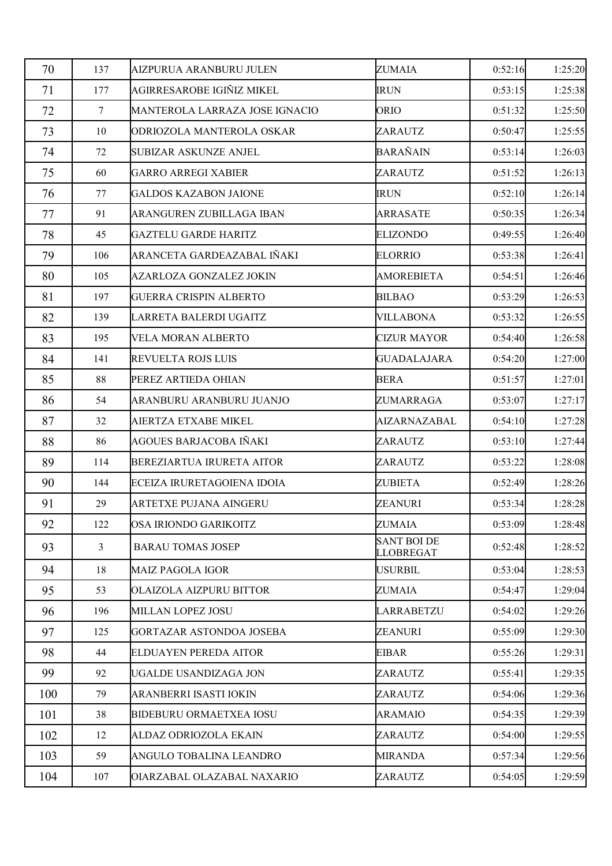| 70  | 137             | AIZPURUA ARANBURU JULEN          | <b>ZUMAIA</b>                          | 0:52:16 | 1:25:20 |
|-----|-----------------|----------------------------------|----------------------------------------|---------|---------|
| 71  | 177             | AGIRRESAROBE IGIÑIZ MIKEL        | <b>IRUN</b>                            | 0:53:15 | 1:25:38 |
| 72  | $7\phantom{.0}$ | MANTEROLA LARRAZA JOSE IGNACIO   | ORIO                                   | 0:51:32 | 1:25:50 |
| 73  | 10              | ODRIOZOLA MANTEROLA OSKAR        | ZARAUTZ                                | 0:50:47 | 1:25:55 |
| 74  | 72              | <b>SUBIZAR ASKUNZE ANJEL</b>     | <b>BARAÑAIN</b>                        | 0:53:14 | 1:26:03 |
| 75  | 60              | <b>GARRO ARREGI XABIER</b>       | ZARAUTZ                                | 0:51:52 | 1:26:13 |
| 76  | 77              | <b>GALDOS KAZABON JAIONE</b>     | <b>IRUN</b>                            | 0:52:10 | 1:26:14 |
| 77  | 91              | ARANGUREN ZUBILLAGA IBAN         | <b>ARRASATE</b>                        | 0:50:35 | 1:26:34 |
| 78  | 45              | GAZTELU GARDE HARITZ             | <b>ELIZONDO</b>                        | 0:49:55 | 1:26:40 |
| 79  | 106             | ARANCETA GARDEAZABAL IÑAKI       | <b>ELORRIO</b>                         | 0:53:38 | 1:26:41 |
| 80  | 105             | AZARLOZA GONZALEZ JOKIN          | <b>AMOREBIETA</b>                      | 0:54:51 | 1:26:46 |
| 81  | 197             | GUERRA CRISPIN ALBERTO           | <b>BILBAO</b>                          | 0:53:29 | 1:26:53 |
| 82  | 139             | LARRETA BALERDI UGAITZ           | <b>VILLABONA</b>                       | 0:53:32 | 1:26:55 |
| 83  | 195             | VELA MORAN ALBERTO               | <b>CIZUR MAYOR</b>                     | 0:54:40 | 1:26:58 |
| 84  | 141             | <b>REVUELTA ROJS LUIS</b>        | <b>GUADALAJARA</b>                     | 0:54:20 | 1:27:00 |
| 85  | 88              | PEREZ ARTIEDA OHIAN              | <b>BERA</b>                            | 0:51:57 | 1:27:01 |
| 86  | 54              | ARANBURU ARANBURU JUANJO         | ZUMARRAGA                              | 0:53:07 | 1:27:17 |
| 87  | 32              | AIERTZA ETXABE MIKEL             | AIZARNAZABAL                           | 0:54:10 | 1:27:28 |
| 88  | 86              | AGOUES BARJACOBA IÑAKI           | ZARAUTZ                                | 0:53:10 | 1:27:44 |
| 89  | 114             | <b>BEREZIARTUA IRURETA AITOR</b> | ZARAUTZ                                | 0:53:22 | 1:28:08 |
| 90  | 144             | ECEIZA IRURETAGOIENA IDOIA       | <b>ZUBIETA</b>                         | 0:52:49 | 1:28:26 |
| 91  | 29              | <b>ARTETXE PUJANA AINGERU</b>    | ZEANURI                                | 0:53:34 | 1:28:28 |
| 92  | 122             | <b>OSA IRIONDO GARIKOITZ</b>     | <b>ZUMAIA</b>                          | 0:53:09 | 1:28:48 |
| 93  | 3               | <b>BARAU TOMAS JOSEP</b>         | <b>SANT BOI DE</b><br><b>LLOBREGAT</b> | 0:52:48 | 1:28:52 |
| 94  | 18              | <b>MAIZ PAGOLA IGOR</b>          | USURBIL                                | 0:53:04 | 1:28:53 |
| 95  | 53              | OLAIZOLA AIZPURU BITTOR          | <b>ZUMAIA</b>                          | 0:54:47 | 1:29:04 |
| 96  | 196             | MILLAN LOPEZ JOSU                | LARRABETZU                             | 0:54:02 | 1:29:26 |
| 97  | 125             | GORTAZAR ASTONDOA JOSEBA         | <b>ZEANURI</b>                         | 0:55:09 | 1:29:30 |
| 98  | 44              | <b>ELDUAYEN PEREDA AITOR</b>     | <b>EIBAR</b>                           | 0:55:26 | 1:29:31 |
| 99  | 92              | UGALDE USANDIZAGA JON            | ZARAUTZ                                | 0:55:41 | 1:29:35 |
| 100 | 79              | ARANBERRI ISASTI IOKIN           | ZARAUTZ                                | 0:54:06 | 1:29:36 |
| 101 | 38              | <b>BIDEBURU ORMAETXEA IOSU</b>   | <b>ARAMAIO</b>                         | 0:54:35 | 1:29:39 |
| 102 | 12              | ALDAZ ODRIOZOLA EKAIN            | ZARAUTZ                                | 0:54:00 | 1:29:55 |
| 103 | 59              | ANGULO TOBALINA LEANDRO          | <b>MIRANDA</b>                         | 0:57:34 | 1:29:56 |
| 104 | 107             | OIARZABAL OLAZABAL NAXARIO       | ZARAUTZ                                | 0:54:05 | 1:29:59 |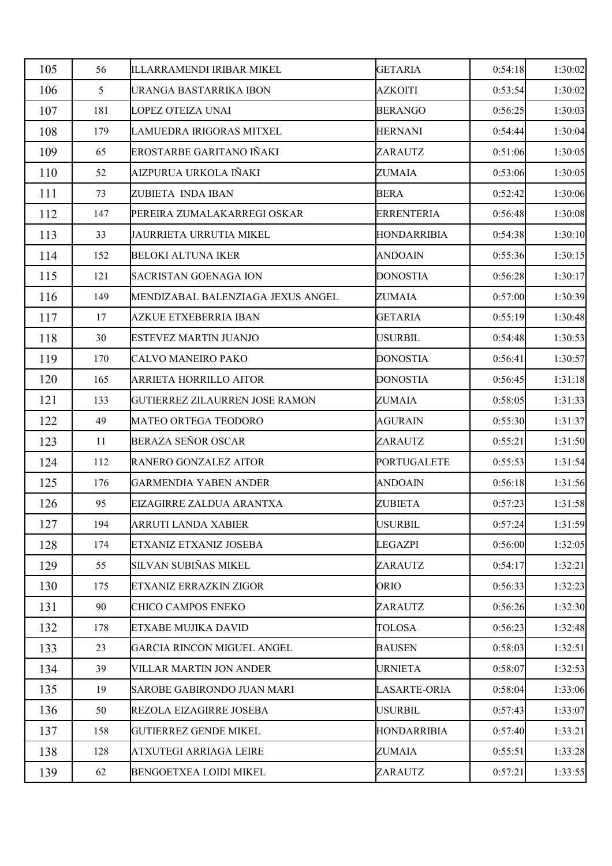| 105 | 56  | ILLARRAMENDI IRIBAR MIKEL             | <b>GETARIA</b>      | 0:54:18 | 1:30:02 |
|-----|-----|---------------------------------------|---------------------|---------|---------|
| 106 | 5   | URANGA BASTARRIKA IBON                | <b>AZKOITI</b>      | 0:53:54 | 1:30:02 |
| 107 | 181 | LOPEZ OTEIZA UNAI                     | <b>BERANGO</b>      | 0:56:25 | 1:30:03 |
| 108 | 179 | LAMUEDRA IRIGORAS MITXEL              | <b>HERNANI</b>      | 0:54:44 | 1:30:04 |
| 109 | 65  | EROSTARBE GARITANO IÑAKI              | ZARAUTZ             | 0:51:06 | 1:30:05 |
| 110 | 52  | AIZPURUA URKOLA IÑAKI                 | <b>ZUMAIA</b>       | 0:53:06 | 1:30:05 |
| 111 | 73  | ZUBIETA INDA IBAN                     | <b>BERA</b>         | 0:52:42 | 1:30:06 |
| 112 | 147 | PEREIRA ZUMALAKARREGI OSKAR           | <b>ERRENTERIA</b>   | 0:56:48 | 1:30:08 |
| 113 | 33  | JAURRIETA URRUTIA MIKEL               | <b>HONDARRIBIA</b>  | 0:54:38 | 1:30:10 |
| 114 | 152 | <b>BELOKI ALTUNA IKER</b>             | ANDOAIN             | 0:55:36 | 1:30:15 |
| 115 | 121 | <b>SACRISTAN GOENAGA ION</b>          | <b>DONOSTIA</b>     | 0:56:28 | 1:30:17 |
| 116 | 149 | MENDIZABAL BALENZIAGA JEXUS ANGEL     | <b>ZUMAIA</b>       | 0:57:00 | 1:30:39 |
| 117 | 17  | AZKUE ETXEBERRIA IBAN                 | <b>GETARIA</b>      | 0:55:19 | 1:30:48 |
| 118 | 30  | <b>ESTEVEZ MARTIN JUANJO</b>          | USURBIL             | 0:54:48 | 1:30:53 |
| 119 | 170 | CALVO MANEIRO PAKO                    | <b>DONOSTIA</b>     | 0:56:41 | 1:30:57 |
| 120 | 165 | ARRIETA HORRILLO AITOR                | <b>DONOSTIA</b>     | 0:56:45 | 1:31:18 |
| 121 | 133 | <b>GUTIERREZ ZILAURREN JOSE RAMON</b> | <b>ZUMAIA</b>       | 0:58:05 | 1:31:33 |
| 122 | 49  | MATEO ORTEGA TEODORO                  | <b>AGURAIN</b>      | 0:55:30 | 1:31:37 |
| 123 | 11  | BERAZA SEÑOR OSCAR                    | ZARAUTZ             | 0:55:21 | 1:31:50 |
| 124 | 112 | RANERO GONZALEZ AITOR                 | <b>PORTUGALETE</b>  | 0:55:53 | 1:31:54 |
| 125 | 176 | <b>GARMENDIA YABEN ANDER</b>          | <b>ANDOAIN</b>      | 0:56:18 | 1:31:56 |
| 126 | 95  | EIZAGIRRE ZALDUA ARANTXA              | ZUBIETA             | 0:57:23 | 1:31:58 |
| 127 | 194 | <b>ARRUTI LANDA XABIER</b>            | <b>USURBIL</b>      | 0:57:24 | 1:31:59 |
| 128 | 174 | ETXANIZ ETXANIZ JOSEBA                | <b>LEGAZPI</b>      | 0:56:00 | 1:32:05 |
| 129 | 55  | SILVAN SUBIÑAS MIKEL                  | ZARAUTZ             | 0:54:17 | 1:32:21 |
| 130 | 175 | ETXANIZ ERRAZKIN ZIGOR                | <b>ORIO</b>         | 0:56:33 | 1:32:23 |
| 131 | 90  | CHICO CAMPOS ENEKO                    | ZARAUTZ             | 0:56:26 | 1:32:30 |
| 132 | 178 | ETXABE MUJIKA DAVID                   | <b>TOLOSA</b>       | 0:56:23 | 1:32:48 |
| 133 | 23  | <b>GARCIA RINCON MIGUEL ANGEL</b>     | <b>BAUSEN</b>       | 0:58:03 | 1:32:51 |
| 134 | 39  | VILLAR MARTIN JON ANDER               | <b>URNIETA</b>      | 0:58:07 | 1:32:53 |
| 135 | 19  | <b>SAROBE GABIRONDO JUAN MARI</b>     | <b>LASARTE-ORIA</b> | 0:58:04 | 1:33:06 |
| 136 | 50  | REZOLA EIZAGIRRE JOSEBA               | <b>USURBIL</b>      | 0:57:43 | 1:33:07 |
| 137 | 158 | <b>GUTIERREZ GENDE MIKEL</b>          | <b>HONDARRIBIA</b>  | 0:57:40 | 1:33:21 |
| 138 | 128 | ATXUTEGI ARRIAGA LEIRE                | <b>ZUMAIA</b>       | 0:55:51 | 1:33:28 |
| 139 | 62  | <b>BENGOETXEA LOIDI MIKEL</b>         | ZARAUTZ             | 0:57:21 | 1:33:55 |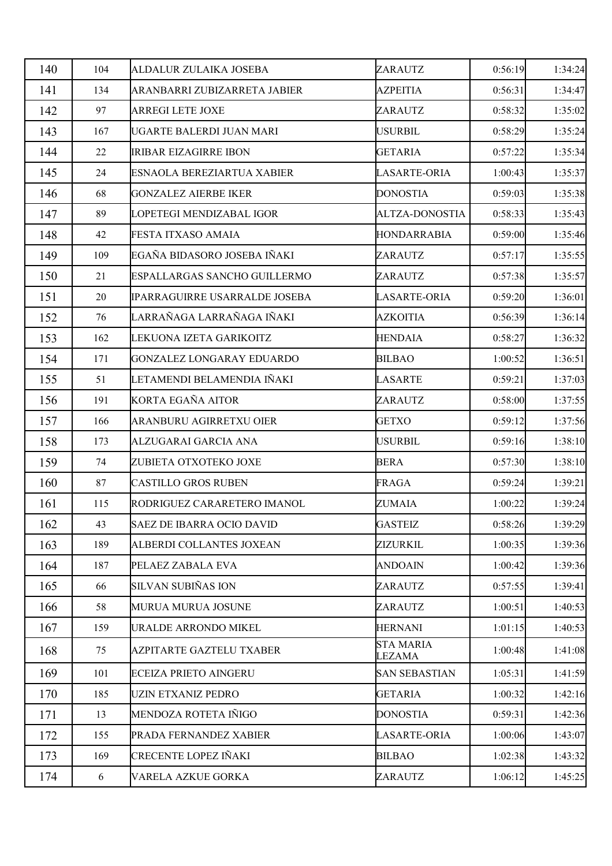| 140 | 104 | ALDALUR ZULAIKA JOSEBA           | ZARAUTZ                    | 0:56:19 | 1:34:24 |
|-----|-----|----------------------------------|----------------------------|---------|---------|
| 141 | 134 | ARANBARRI ZUBIZARRETA JABIER     | <b>AZPEITIA</b>            | 0:56:31 | 1:34:47 |
| 142 | 97  | <b>ARREGI LETE JOXE</b>          | ZARAUTZ                    | 0:58:32 | 1:35:02 |
| 143 | 167 | UGARTE BALERDI JUAN MARI         | <b>USURBIL</b>             | 0:58:29 | 1:35:24 |
| 144 | 22  | <b>IRIBAR EIZAGIRRE IBON</b>     | <b>GETARIA</b>             | 0:57:22 | 1:35:34 |
| 145 | 24  | ESNAOLA BEREZIARTUA XABIER       | <b>LASARTE-ORIA</b>        | 1:00:43 | 1:35:37 |
| 146 | 68  | <b>GONZALEZ AIERBE IKER</b>      | <b>DONOSTIA</b>            | 0:59:03 | 1:35:38 |
| 147 | 89  | LOPETEGI MENDIZABAL IGOR         | <b>ALTZA-DONOSTIA</b>      | 0:58:33 | 1:35:43 |
| 148 | 42  | FESTA ITXASO AMAIA               | <b>HONDARRABIA</b>         | 0:59:00 | 1:35:46 |
| 149 | 109 | EGAÑA BIDASORO JOSEBA IÑAKI      | ZARAUTZ                    | 0:57:17 | 1:35:55 |
| 150 | 21  | ESPALLARGAS SANCHO GUILLERMO     | ZARAUTZ                    | 0:57:38 | 1:35:57 |
| 151 | 20  | IPARRAGUIRRE USARRALDE JOSEBA    | <b>LASARTE-ORIA</b>        | 0:59:20 | 1:36:01 |
| 152 | 76  | LARRAÑAGA LARRAÑAGA IÑAKI        | <b>AZKOITIA</b>            | 0:56:39 | 1:36:14 |
| 153 | 162 | LEKUONA IZETA GARIKOITZ          | <b>HENDAIA</b>             | 0:58:27 | 1:36:32 |
| 154 | 171 | <b>GONZALEZ LONGARAY EDUARDO</b> | <b>BILBAO</b>              | 1:00:52 | 1:36:51 |
| 155 | 51  | LETAMENDI BELAMENDIA IÑAKI       | <b>LASARTE</b>             | 0:59:21 | 1:37:03 |
| 156 | 191 | KORTA EGAÑA AITOR                | ZARAUTZ                    | 0:58:00 | 1:37:55 |
| 157 | 166 | ARANBURU AGIRRETXU OIER          | <b>GETXO</b>               | 0:59:12 | 1:37:56 |
| 158 | 173 | ALZUGARAI GARCIA ANA             | <b>USURBIL</b>             | 0:59:16 | 1:38:10 |
| 159 | 74  | ZUBIETA OTXOTEKO JOXE            | <b>BERA</b>                | 0:57:30 | 1:38:10 |
| 160 | 87  | <b>CASTILLO GROS RUBEN</b>       | FRAGA                      | 0:59:24 | 1:39:21 |
| 161 | 115 | RODRIGUEZ CARARETERO IMANOL      | ZUMAIA                     | 1:00:22 | 1:39:24 |
| 162 | 43  | <b>SAEZ DE IBARRA OCIO DAVID</b> | <b>GASTEIZ</b>             | 0:58:26 | 1:39:29 |
| 163 | 189 | ALBERDI COLLANTES JOXEAN         | ZIZURKIL                   | 1:00:35 | 1:39:36 |
| 164 | 187 | PELAEZ ZABALA EVA                | <b>ANDOAIN</b>             | 1:00:42 | 1:39:36 |
| 165 | 66  | <b>SILVAN SUBIÑAS ION</b>        | ZARAUTZ                    | 0:57:55 | 1:39:41 |
| 166 | 58  | MURUA MURUA JOSUNE               | ZARAUTZ                    | 1:00:51 | 1:40:53 |
| 167 | 159 | URALDE ARRONDO MIKEL             | <b>HERNANI</b>             | 1:01:15 | 1:40:53 |
| 168 | 75  | <b>AZPITARTE GAZTELU TXABER</b>  | <b>STA MARIA</b><br>LEZAMA | 1:00:48 | 1:41:08 |
| 169 | 101 | <b>ECEIZA PRIETO AINGERU</b>     | <b>SAN SEBASTIAN</b>       | 1:05:31 | 1:41:59 |
| 170 | 185 | <b>UZIN ETXANIZ PEDRO</b>        | <b>GETARIA</b>             | 1:00:32 | 1:42:16 |
| 171 | 13  | MENDOZA ROTETA IÑIGO             | <b>DONOSTIA</b>            | 0:59:31 | 1:42:36 |
| 172 | 155 | PRADA FERNANDEZ XABIER           | <b>LASARTE-ORIA</b>        | 1:00:06 | 1:43:07 |
| 173 | 169 | CRECENTE LOPEZ IÑAKI             | <b>BILBAO</b>              | 1:02:38 | 1:43:32 |
| 174 | 6   | VARELA AZKUE GORKA               | ZARAUTZ                    | 1:06:12 | 1:45:25 |